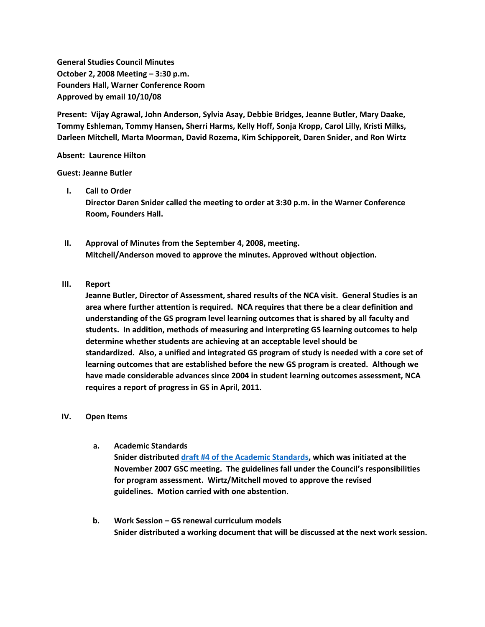**General Studies Council Minutes October 2, 2008 Meeting – 3:30 p.m. Founders Hall, Warner Conference Room Approved by email 10/10/08**

**Present: Vijay Agrawal, John Anderson, Sylvia Asay, Debbie Bridges, Jeanne Butler, Mary Daake, Tommy Eshleman, Tommy Hansen, Sherri Harms, Kelly Hoff, Sonja Kropp, Carol Lilly, Kristi Milks, Darleen Mitchell, Marta Moorman, David Rozema, Kim Schipporeit, Daren Snider, and Ron Wirtz**

**Absent: Laurence Hilton**

**Guest: Jeanne Butler**

### **I. Call to Order**

**Director Daren Snider called the meeting to order at 3:30 p.m. in the Warner Conference Room, Founders Hall.**

- **II. Approval of Minutes from the September 4, 2008, meeting. Mitchell/Anderson moved to approve the minutes. Approved without objection.**
- **III. Report**

**Jeanne Butler, Director of Assessment, shared results of the NCA visit. General Studies is an area where further attention is required. NCA requires that there be a clear definition and understanding of the GS program level learning outcomes that is shared by all faculty and students. In addition, methods of measuring and interpreting GS learning outcomes to help determine whether students are achieving at an acceptable level should be standardized. Also, a unified and integrated GS program of study is needed with a core set of learning outcomes that are established before the new GS program is created. Although we have made considerable advances since 2004 in student learning outcomes assessment, NCA requires a report of progress in GS in April, 2011.**

#### **IV. Open Items**

**a. Academic Standards**

**Snider distributed [draft #4 of the Academic Standards,](http://www.unk.edu/uploadedFiles/academicaffairs/generalstudies/minutes/GSC%2010-2-08%20Acad%20Stand.pdf) which was initiated at the November 2007 GSC meeting. The guidelines fall under the Council's responsibilities for program assessment. Wirtz/Mitchell moved to approve the revised guidelines. Motion carried with one abstention.**

**b. Work Session – GS renewal curriculum models Snider distributed a working document that will be discussed at the next work session.**